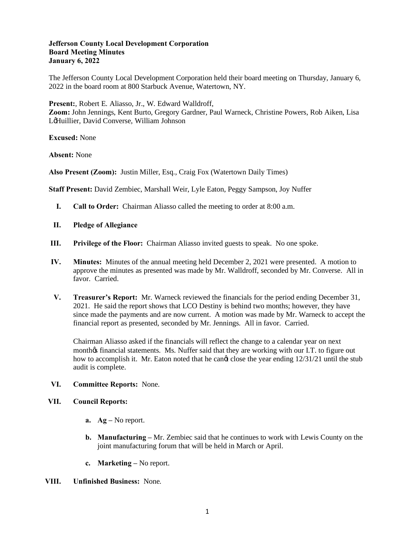## **Jefferson County Local Development Corporation Board Meeting Minutes January 6, 2022**

The Jefferson County Local Development Corporation held their board meeting on Thursday, January 6, 2022 in the board room at 800 Starbuck Avenue, Watertown, NY.

**Present:**, Robert E. Aliasso, Jr., W. Edward Walldroff, **Zoom:** John Jennings, Kent Burto, Gregory Gardner, Paul Warneck, Christine Powers, Rob Aiken, Lisa LeHuillier, David Converse, William Johnson

**Excused:** None

**Absent:** None

**Also Present (Zoom):** Justin Miller, Esq., Craig Fox (Watertown Daily Times)

**Staff Present:** David Zembiec, Marshall Weir, Lyle Eaton, Peggy Sampson, Joy Nuffer

- **I. Call to Order:** Chairman Aliasso called the meeting to order at 8:00 a.m.
- **II. Pledge of Allegiance**
- **III. Privilege of the Floor:** Chairman Aliasso invited guests to speak. No one spoke.
- **IV. Minutes:** Minutes of the annual meeting held December 2, 2021 were presented. A motion to approve the minutes as presented was made by Mr. Walldroff, seconded by Mr. Converse. All in favor. Carried.
- **V. Treasurer's Report:** Mr. Warneck reviewed the financials for the period ending December 31, 2021. He said the report shows that LCO Destiny is behind two months; however, they have since made the payments and are now current. A motion was made by Mr. Warneck to accept the financial report as presented, seconded by Mr. Jennings. All in favor. Carried.

Chairman Aliasso asked if the financials will reflect the change to a calendar year on next monthos financial statements. Ms. Nuffer said that they are working with our I.T. to figure out how to accomplish it. Mr. Eaton noted that he cange close the year ending  $12/31/21$  until the stub audit is complete.

## **VI. Committee Reports:** None.

## **VII. Council Reports:**

- **a. Ag –** No report.
- **b. Manufacturing –** Mr. Zembiec said that he continues to work with Lewis County on the joint manufacturing forum that will be held in March or April.
- **c. Marketing –** No report.
- **VIII. Unfinished Business:** None.